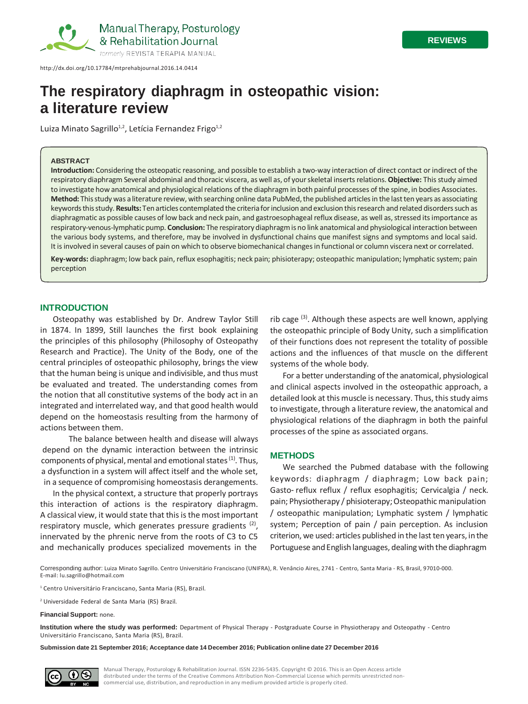

[http://dx.doi.org/10.17784/mtprehabjournal.2016.14.0414](http://dx.doi.org/10.17784/mtprehabjournal.2016.14.414)

# **The respiratory diaphragm in osteopathic vision: a literature review**

Luiza Minato Sagrillo<sup>1,2</sup>, Letícia Fernandez Frigo<sup>1,2</sup>

#### **ABSTRACT**

**Introduction:** Considering the osteopatic reasoning, and possible to establish a two-way interaction of direct contact or indirect of the respiratory diaphragm Several abdominal and thoracic viscera, as well as, of yourskeletal insertsrelations.**Objective:** Thisstudy aimed to investigate how anatomical and physiological relations of the diaphragm in both painful processes of the spine, in bodies Associates. Method: This study was a literature review, with searching online data PubMed, the published articles in the last ten years as associating keywords this study. Results: Ten articles contemplated the criteria for inclusion and exclusion this research and related disorders such as diaphragmatic as possible causes of low back and neck pain, and gastroesophageal reflux disease, as well as, stressed its importance as respiratory-venous-lymphatic pump. **Conclusion:** The respiratorydiaphragmis no link anatomical and physiological interaction between the various body systems, and therefore, may be involved in dysfunctional chains que manifest signs and symptoms and local said. It is involved in several causes of pain on which to observe biomechanical changes in functional or column viscera next or correlated.

**Key-words:** diaphragm; low back pain, reflux esophagitis; neck pain; phisioterapy; osteopathic manipulation; lymphatic system; pain perception

#### **INTRODUCTION**

Osteopathy was established by Dr. Andrew Taylor Still in 1874. In 1899, Still launches the first book explaining the principles of this philosophy (Philosophy of Osteopathy Research and Practice). The Unity of the Body, one of the central principles of osteopathic philosophy, brings the view that the human being is unique and indivisible, and thus must be evaluated and treated. The understanding comes from the notion that all constitutive systems of the body act in an integrated and interrelated way, and that good health would depend on the homeostasis resulting from the harmony of actions between them.

The balance between health and disease will always depend on the dynamic interaction between the intrinsic components of physical, mental and emotional states <sup>(1)</sup>. Thus, a dysfunction in a system will affect itself and the whole set, in a sequence of compromising homeostasis derangements.

In the physical context, a structure that properly portrays this interaction of actions is the respiratory diaphragm. A classical view, it would state that this is the most important respiratory muscle, which generates pressure gradients  $(2)$ , innervated by the phrenic nerve from the roots of C3 to C5 and mechanically produces specialized movements in the

rib cage  $(3)$ . Although these aspects are well known, applying the osteopathic principle of Body Unity, such a simplification of their functions does not represent the totality of possible actions and the influences of that muscle on the different systems of the whole body.

For a better understanding of the anatomical, physiological and clinical aspects involved in the osteopathic approach, a detailed look at this muscle is necessary. Thus, this study aims to investigate, through a literature review, the anatomical and physiological relations of the diaphragm in both the painful processes of the spine as associated organs.

#### **METHODS**

We searched the Pubmed database with the following keywords: diaphragm / diaphragm; Low back pain; Gasto-reflux reflux / reflux esophagitis; Cervicalgia / neck. pain; Physiotherapy / phisioterapy;Osteopathic manipulation / osteopathic manipulation; Lymphatic system / lymphatic system; Perception of pain / pain perception. As inclusion criterion, we used: articles published in the last ten years, in the Portuguese and English languages, dealing with the diaphragm

Corresponding author: Luiza Minato Sagrillo. Centro Universitário Franciscano (UNIFRA), R. Venâncio Aires, 2741 - Centro, Santa Maria - RS, Brasil, 97010-000. E-mail: [lu.sagrillo@hotmail.com](mailto:lu.sagrillo@hotmail.com)

<sup>1</sup> Centro Universitário Franciscano, Santa Maria (RS), Brazil.

<sup>2</sup> Universidade Federal de Santa Maria (RS) Brazil.

**Financial Support:** none.

**Institution where the study was performed:** Department of Physical Therapy - Postgraduate Course in Physiotherapy and Osteopathy - Centro Universitário Franciscano, Santa Maria (RS), Brazil.

**Submission date 21 September 2016; Acceptance date 14 December 2016; Publication online date 27 December 2016**



Manual Therapy, Posturology & Rehabilitation Journal. ISSN 2236-5435. Copyright © 2016. This is an Open Access article distributed under the terms of the Creative Commons Attribution Non-Commercial License which permits unrestricted noncommercial use, distribution, and reproduction in any medium provided article is properly cited.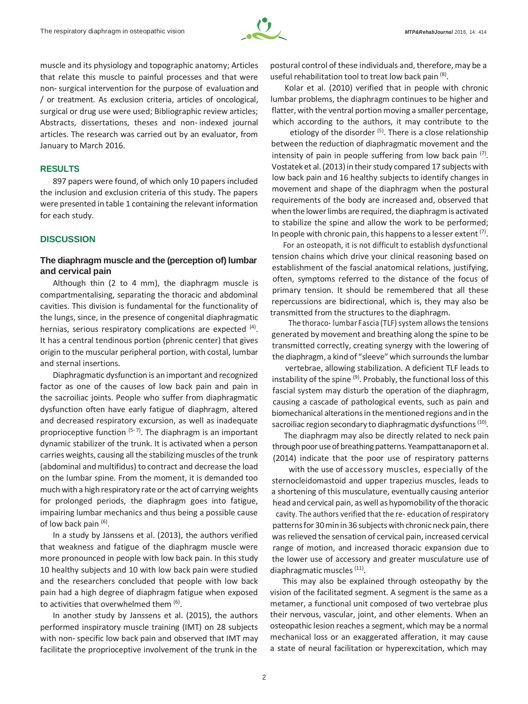

muscle and its physiology and topographic anatomy; Articles that relate this muscle to painful processes and that were non-surgical intervention for the purpose of evaluation and / or treatment. As exclusion criteria, articles of oncological, surgical or drug use were used; Bibliographic review articles; Abstracts, dissertations, theses and non-indexed journal articles. The research was carried out by an evaluator, from January to March 2016.

## **RESULTS**

897 papers were found, of which only 10 papers included the inclusion and exclusion criteria of this study. The papers were presented in table 1 containing the relevant information for each study.

# **DISCUSSION**

# **The diaphragm muscle and the (perception of) lumbar and cervical pain**

Although thin (2 to 4 mm), the diaphragm muscle is compartmentalising, separating the thoracic and abdominal cavities. This division is fundamental for the functionality of the lungs, since, in the presence of congenital diaphragmatic hernias, serious respiratory complications are expected <sup>(4)</sup>. It has a central tendinous portion (phrenic center) that gives origin to the muscular peripheral portion, with costal, lumbar and sternal insertions.

Diaphragmatic dysfunction is an important and recognized factor as one of the causes of low back pain and pain in the sacroiliac joints. People who suffer from diaphragmatic dysfunction often have early fatigue of diaphragm, altered and decreased respiratory excursion, as well as inadequate proprioceptive function  $(5-7)$ . The diaphragm is an important dynamic stabilizer of the trunk. It is activated when a person carries weights, causing all the stabilizing muscles of the trunk (abdominal and multifidus) to contract and decrease the load on the lumbar spine. From the moment, it is demanded too much with a high respiratory rate or the act of carrying weights for prolonged periods, the diaphragm goes into fatigue, impairing lumbar mechanics and thus being a possible cause of low back pain (6).

In a study by Janssens et al. (2013), the authors verified that weakness and fatigue of the diaphragm muscle were more pronounced in people with low back pain. In this study 10 healthy subjects and 10 with low back pain were studied and the researchers concluded that people with low back pain had a high degree of diaphragm fatigue when exposed to activities that overwhelmed them <sup>(6)</sup>.

In another study by Janssens et al. (2015), the authors performed inspiratory muscle training (IMT) on 28 subjects with non- specific low back pain and observed that IMT may facilitate the proprioceptive involvement of the trunk in the

postural control of these individuals and, therefore, may be a useful rehabilitation tool to treat low back pain (8).

Kolar et al. (2010) verified that in people with chronic lumbar problems, the diaphragm continues to be higher and flatter, with the ventral portion moving a smaller percentage, which according to the authors, it may contribute to the

etiology of the disorder <sup>(5)</sup>. There is a close relationship between the reduction of diaphragmatic movement and the intensity of pain in people suffering from low back pain  $(7)$ . Vostatek et al. (2013) in their study compared 17 subjects with low back pain and 16 healthy subjects to identify changes in movement and shape of the diaphragm when the postural requirements of the body are increased and, observed that when the lower limbs are required, the diaphragm is activated to stabilize the spine and allow the work to be performed; In people with chronic pain, this happens to a lesser extent  $(7)$ .

For an osteopath, it is not difficult to establish dysfunctional tension chains which drive your clinical reasoning based on establishment of the fascial anatomical relations, justifying, often, symptoms referred to the distance of the focus of primary tension. It should be remembered that all these repercussions are bidirectional, which is, they may also be transmitted from the structures to the diaphragm.

The thoraco- lumbar Fascia (TLF) system allows the tensions generated by movement and breathing along the spine to be transmitted correctly, creating synergy with the lowering of the diaphragm, a kind of "sleeve" which surrounds the lumbar

vertebrae, allowing stabilization. A deficient TLF leads to instability of the spine <sup>(9)</sup>. Probably, the functional loss of this fascial system may disturb the operation of the diaphragm, causing a cascade of pathological events, such as pain and biomechanical alterationsin thementioned regions and in the sacroiliac region secondary to diaphragmatic dysfunctions (10).

The diaphragm may also be directly related to neck pain through poor use of breathing patterns. Yeampattanaporn et al. (2014) indicate that the poor use of respiratory patterns

with the use of accessory muscles, especially of the sternocleidomastoid and upper trapezius muscles, leads to a shortening of this musculature, eventually causing anterior head and cervical pain, as well as hypomobility of the thoracic cavity. The authors verified that the re‑ education of respiratory patterns for 30 min in 36 subjects with chronic neck pain, there was relieved the sensation of cervical pain, increased cervical range of motion, and increased thoracic expansion due to the lower use of accessory and greater musculature use of diaphragmatic muscles (11).

This may also be explained through osteopathy by the vision of the facilitated segment. A segment is the same as a metamer, a functional unit composed of two vertebrae plus their nervous, vascular, joint, and other elements. When an osteopathic lesion reaches a segment, which may be a normal mechanical loss or an exaggerated afferation, it may cause a state of neural facilitation or hyperexcitation, which may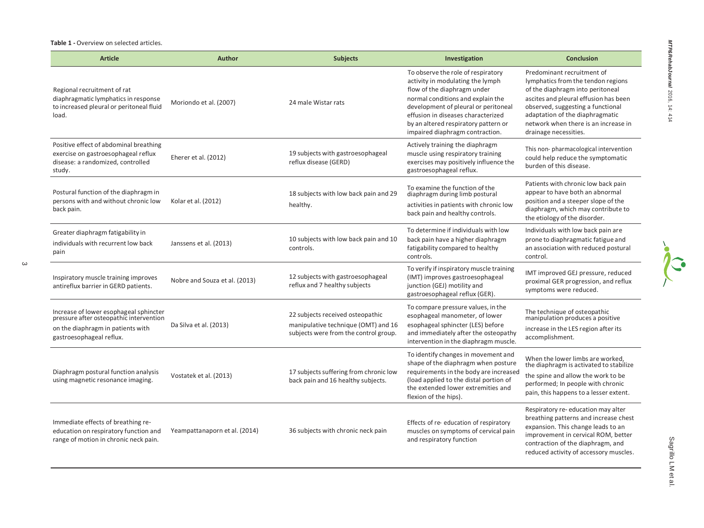**Table 1 -** Overview on selected articles.

| <b>Article</b>                                                                                                                                     | <b>Author</b>                 | <b>Subjects</b>                                                                                                  | Investigation                                                                                                                                                                                                                                                                                       | <b>Conclusion</b>                                                                                                                                                                                                                                                                      |
|----------------------------------------------------------------------------------------------------------------------------------------------------|-------------------------------|------------------------------------------------------------------------------------------------------------------|-----------------------------------------------------------------------------------------------------------------------------------------------------------------------------------------------------------------------------------------------------------------------------------------------------|----------------------------------------------------------------------------------------------------------------------------------------------------------------------------------------------------------------------------------------------------------------------------------------|
| Regional recruitment of rat<br>diaphragmatic lymphatics in response<br>to increased pleural or peritoneal fluid<br>load.                           | Moriondo et al. (2007)        | 24 male Wistar rats                                                                                              | To observe the role of respiratory<br>activity in modulating the lymph<br>flow of the diaphragm under<br>normal conditions and explain the<br>development of pleural or peritoneal<br>effusion in diseases characterized<br>by an altered respiratory pattern or<br>impaired diaphragm contraction. | Predominant recruitment of<br>lymphatics from the tendon regions<br>of the diaphragm into peritoneal<br>ascites and pleural effusion has been<br>observed, suggesting a functional<br>adaptation of the diaphragmatic<br>network when there is an increase in<br>drainage necessities. |
| Positive effect of abdominal breathing<br>exercise on gastroesophageal reflux<br>disease: a randomized, controlled<br>study.                       | Eherer et al. (2012)          | 19 subjects with gastroesophageal<br>reflux disease (GERD)                                                       | Actively training the diaphragm<br>muscle using respiratory training<br>exercises may positively influence the<br>gastroesophageal reflux.                                                                                                                                                          | This non-pharmacological intervention<br>could help reduce the symptomatic<br>burden of this disease.                                                                                                                                                                                  |
| Postural function of the diaphragm in<br>persons with and without chronic low<br>back pain.                                                        | Kolar et al. (2012)           | 18 subjects with low back pain and 29<br>healthy.                                                                | To examine the function of the<br>diaphragm during limb postural<br>activities in patients with chronic low<br>back pain and healthy controls.                                                                                                                                                      | Patients with chronic low back pain<br>appear to have both an abnormal<br>position and a steeper slope of the<br>diaphragm, which may contribute to<br>the etiology of the disorder.                                                                                                   |
| Greater diaphragm fatigability in<br>individuals with recurrent low back<br>pain                                                                   | Janssens et al. (2013)        | 10 subjects with low back pain and 10<br>controls.                                                               | To determine if individuals with low<br>back pain have a higher diaphragm<br>fatigability compared to healthy<br>controls.                                                                                                                                                                          | Individuals with low back pain are<br>prone to diaphragmatic fatigue and<br>an association with reduced postural<br>control.                                                                                                                                                           |
| Inspiratory muscle training improves<br>antireflux barrier in GERD patients.                                                                       | Nobre and Souza et al. (2013) | 12 subjects with gastroesophageal<br>reflux and 7 healthy subjects                                               | To verify if inspiratory muscle training<br>(IMT) improves gastroesophageal<br>junction (GEJ) motility and<br>gastroesophageal reflux (GER).                                                                                                                                                        | IMT improved GEJ pressure, reduced<br>proximal GER progression, and reflux<br>symptoms were reduced.                                                                                                                                                                                   |
| Increase of lower esophageal sphincter<br>pressure after osteopathic intervention<br>on the diaphragm in patients with<br>gastroesophageal reflux. | Da Silva et al. (2013)        | 22 subjects received osteopathic<br>manipulative technique (OMT) and 16<br>subjects were from the control group. | To compare pressure values, in the<br>esophageal manometer, of lower<br>esophageal sphincter (LES) before<br>and immediately after the osteopathy<br>intervention in the diaphragm muscle.                                                                                                          | The technique of osteopathic<br>manipulation produces a positive<br>increase in the LES region after its<br>accomplishment.                                                                                                                                                            |
| Diaphragm postural function analysis<br>using magnetic resonance imaging.                                                                          | Vostatek et al. (2013)        | 17 subjects suffering from chronic low<br>back pain and 16 healthy subjects.                                     | To identify changes in movement and<br>shape of the diaphragm when posture<br>requirements in the body are increased<br>(load applied to the distal portion of<br>the extended lower extremities and<br>flexion of the hips).                                                                       | When the lower limbs are worked,<br>the diaphragm is activated to stabilize<br>the spine and allow the work to be<br>performed; In people with chronic<br>pain, this happens to a lesser extent.                                                                                       |
| Immediate effects of breathing re-<br>education on respiratory function and<br>range of motion in chronic neck pain.                               | Yeampattanaporn et al. (2014) | 36 subjects with chronic neck pain                                                                               | Effects of re-education of respiratory<br>muscles on symptoms of cervical pain<br>and respiratory function                                                                                                                                                                                          | Respiratory re-education may alter<br>breathing patterns and increase chest<br>expansion. This change leads to an<br>improvement in cervical ROM, better<br>contraction of the diaphragm, and<br>reduced activity of accessory muscles.                                                |

 $\ddot{\bullet}$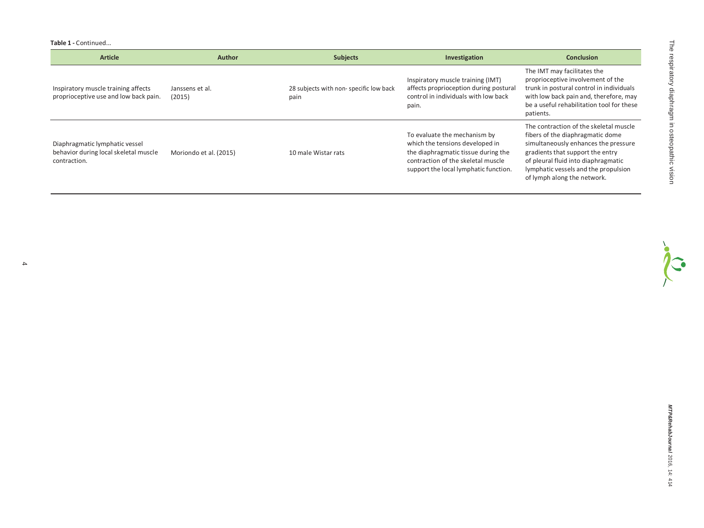**Table 1 -** Continued...

4

| <b>Article</b>                                                                          | <b>Author</b>             | <b>Subjects</b>                                | Investigation                                                                                                                                                                         | <b>Conclusion</b>                                                                                                                                                                                                                                                    |
|-----------------------------------------------------------------------------------------|---------------------------|------------------------------------------------|---------------------------------------------------------------------------------------------------------------------------------------------------------------------------------------|----------------------------------------------------------------------------------------------------------------------------------------------------------------------------------------------------------------------------------------------------------------------|
| Inspiratory muscle training affects<br>proprioceptive use and low back pain.            | Janssens et al.<br>(2015) | 28 subjects with non-specific low back<br>pain | Inspiratory muscle training (IMT)<br>affects proprioception during postural<br>control in individuals with low back<br>pain.                                                          | The IMT may facilitates the<br>proprioceptive involvement of the<br>trunk in postural control in individuals<br>with low back pain and, therefore, may<br>be a useful rehabilitation tool for these<br>patients.                                                     |
| Diaphragmatic lymphatic vessel<br>behavior during local skeletal muscle<br>contraction. | Moriondo et al. (2015)    | 10 male Wistar rats                            | To evaluate the mechanism by<br>which the tensions developed in<br>the diaphragmatic tissue during the<br>contraction of the skeletal muscle<br>support the local lymphatic function. | The contraction of the skeletal muscle<br>fibers of the diaphragmatic dome<br>simultaneously enhances the pressure<br>gradients that support the entry<br>of pleural fluid into diaphragmatic<br>lymphatic vessels and the propulsion<br>of lymph along the network. |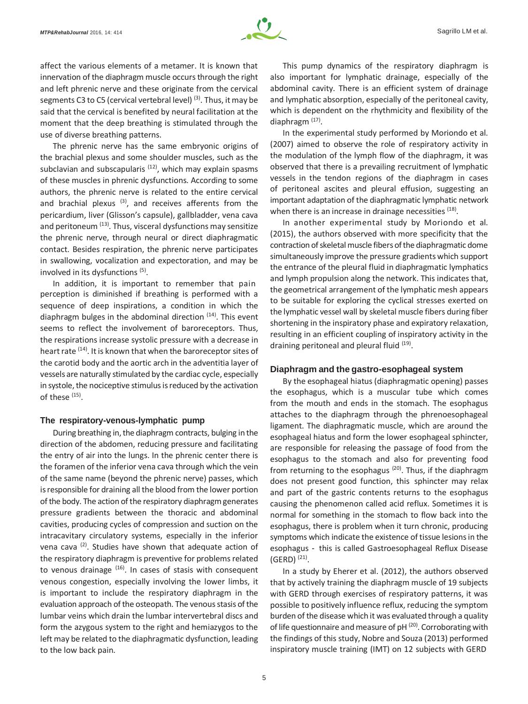

affect the various elements of a metamer. It is known that innervation of the diaphragm muscle occurs through the right and left phrenic nerve and these originate from the cervical segments C3 to C5 (cervical vertebral level)<sup>(3)</sup>. Thus, it may be said that the cervical is benefited by neural facilitation at the moment that the deep breathing is stimulated through the use of diverse breathing patterns.

The phrenic nerve has the same embryonic origins of the brachial plexus and some shoulder muscles, such as the subclavian and subscapularis <sup>(12)</sup>, which may explain spasms of these muscles in phrenic dysfunctions. According to some authors, the phrenic nerve is related to the entire cervical and brachial plexus  $(3)$ , and receives afferents from the pericardium, liver (Glisson's capsule), gallbladder, vena cava and peritoneum <sup>(13)</sup>. Thus, visceral dysfunctions may sensitize the phrenic nerve, through neural or direct diaphragmatic contact. Besides respiration, the phrenic nerve participates in swallowing, vocalization and expectoration, and may be involved in its dysfunctions (5).

In addition, it is important to remember that pain perception is diminished if breathing is performed with a sequence of deep inspirations, a condition in which the diaphragm bulges in the abdominal direction  $(14)$ . This event seems to reflect the involvement of baroreceptors. Thus, the respirations increase systolic pressure with a decrease in heart rate <sup>(14)</sup>. It is known that when the baroreceptor sites of the carotid body and the aortic arch in the adventitia layer of vessels are naturally stimulated by the cardiac cycle, especially in systole, the nociceptive stimulus is reduced by the activation of these (15).

#### **The respiratory-venous-lymphatic pump**

During breathing in, the diaphragm contracts, bulging in the direction of the abdomen, reducing pressure and facilitating the entry of air into the lungs. In the phrenic center there is the foramen of the inferior vena cava through which the vein of the same name (beyond the phrenic nerve) passes, which isresponsible for draining all the blood from the lower portion of the body. The action of the respiratory diaphragmgenerates pressure gradients between the thoracic and abdominal cavities, producing cycles of compression and suction on the intracavitary circulatory systems, especially in the inferior vena cava  $(2)$ . Studies have shown that adequate action of the respiratory diaphragm is preventive for problems related to venous drainage  $(16)$ . In cases of stasis with consequent venous congestion, especially involving the lower limbs, it is important to include the respiratory diaphragm in the evaluation approach of the osteopath. The venous stasis of the lumbar veins which drain the lumbar intervertebral discs and form the azygous system to the right and hemiazygos to the left may be related to the diaphragmatic dysfunction, leading to the low back pain.

This pump dynamics of the respiratory diaphragm is also important for lymphatic drainage, especially of the abdominal cavity. There is an efficient system of drainage and lymphatic absorption, especially of the peritoneal cavity, which is dependent on the rhythmicity and flexibility of the diaphragm<sup>(17)</sup>.

In the experimental study performed by Moriondo et al. (2007) aimed to observe the role of respiratory activity in the modulation of the lymph flow of the diaphragm, it was observed that there is a prevailing recruitment of lymphatic vessels in the tendon regions of the diaphragm in cases of peritoneal ascites and pleural effusion, suggesting an important adaptation of the diaphragmatic lymphatic network when there is an increase in drainage necessities <sup>(18)</sup>.

In another experimental study by Moriondo et al. (2015), the authors observed with more specificity that the contraction of skeletal muscle fibers of the diaphragmatic dome simultaneously improve the pressure gradients which support the entrance of the pleural fluid in diaphragmatic lymphatics and lymph propulsion along the network. This indicates that, the geometrical arrangement of the lymphatic mesh appears to be suitable for exploring the cyclical stresses exerted on the lymphatic vessel wall by skeletal muscle fibers during fiber shortening in the inspiratory phase and expiratory relaxation, resulting in an efficient coupling of inspiratory activity in the draining peritoneal and pleural fluid <sup>(19)</sup>.

#### **Diaphragm and the gastro-esophageal system**

By the esophageal hiatus (diaphragmatic opening) passes the esophagus, which is a muscular tube which comes from the mouth and ends in the stomach. The esophagus attaches to the diaphragm through the phrenoesophageal ligament. The diaphragmatic muscle, which are around the esophageal hiatus and form the lower esophageal sphincter, are responsible for releasing the passage of food from the esophagus to the stomach and also for preventing food from returning to the esophagus  $(20)$ . Thus, if the diaphragm does not present good function, this sphincter may relax and part of the gastric contents returns to the esophagus causing the phenomenon called acid reflux. Sometimes it is normal for something in the stomach to flow back into the esophagus, there is problem when it turn chronic, producing symptoms which indicate the existence of tissue lesionsin the esophagus ‑ this is called Gastroesophageal Reflux Disease  $(GERD)$ <sup>(21)</sup>.

In a study by Eherer et al. (2012), the authors observed that by actively training the diaphragm muscle of 19 subjects with GERD through exercises of respiratory patterns, it was possible to positively influence reflux, reducing the symptom burden of the disease which it was evaluated through a quality of life questionnaire and measure of pH<sup>(20)</sup>. Corroborating with the findings of this study, Nobre and Souza (2013) performed inspiratory muscle training (IMT) on 12 subjects with GERD